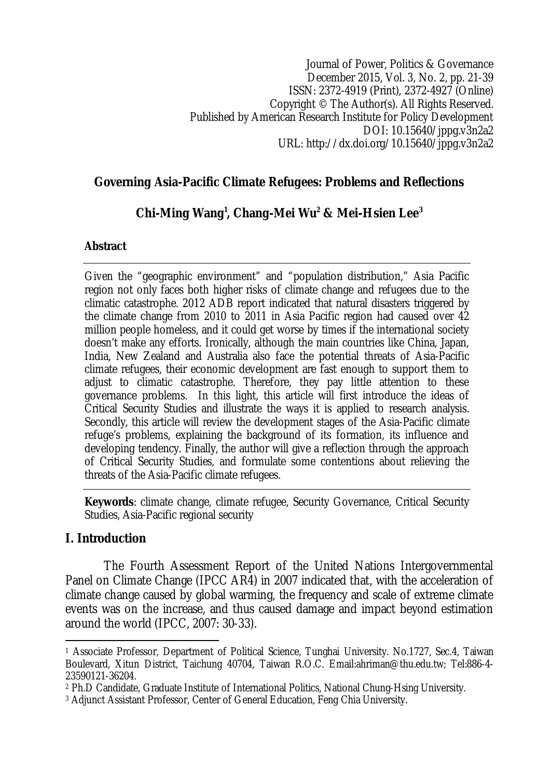## **Governing Asia-Pacific Climate Refugees: Problems and Reflections**

# **Chi-Ming Wang<sup>1</sup> , Chang-Mei Wu<sup>2</sup> & Mei-Hsien Lee<sup>3</sup>**

## **Abstract**

Given the "geographic environment" and "population distribution," Asia Pacific region not only faces both higher risks of climate change and refugees due to the climatic catastrophe. 2012 ADB report indicated that natural disasters triggered by the climate change from 2010 to 2011 in Asia Pacific region had caused over 42 million people homeless, and it could get worse by times if the international society doesn't make any efforts. Ironically, although the main countries like China, Japan, India, New Zealand and Australia also face the potential threats of Asia-Pacific climate refugees, their economic development are fast enough to support them to adjust to climatic catastrophe. Therefore, they pay little attention to these governance problems. In this light, this article will first introduce the ideas of Critical Security Studies and illustrate the ways it is applied to research analysis. Secondly, this article will review the development stages of the Asia-Pacific climate refuge's problems, explaining the background of its formation, its influence and developing tendency. Finally, the author will give a reflection through the approach of Critical Security Studies, and formulate some contentions about relieving the threats of the Asia-Pacific climate refugees.

**Keywords**: climate change, climate refugee, Security Governance, Critical Security Studies, Asia-Pacific regional security

## **I. Introduction**

The Fourth Assessment Report of the United Nations Intergovernmental Panel on Climate Change (IPCC AR4) in 2007 indicated that, with the acceleration of climate change caused by global warming, the frequency and scale of extreme climate events was on the increase, and thus caused damage and impact beyond estimation around the world (IPCC, 2007: 30-33).

 $\overline{\phantom{a}}$ <sup>1</sup> Associate Professor, Department of Political Science, Tunghai University. No.1727, Sec.4, Taiwan Boulevard, Xitun District, Taichung 40704, Taiwan R.O.C. Email:ahriman@thu.edu.tw; Tel:886-4- 23590121-36204.

<sup>2</sup> Ph.D Candidate, Graduate Institute of International Politics, National Chung-Hsing University.

<sup>3</sup> Adjunct Assistant Professor, Center of General Education, Feng Chia University.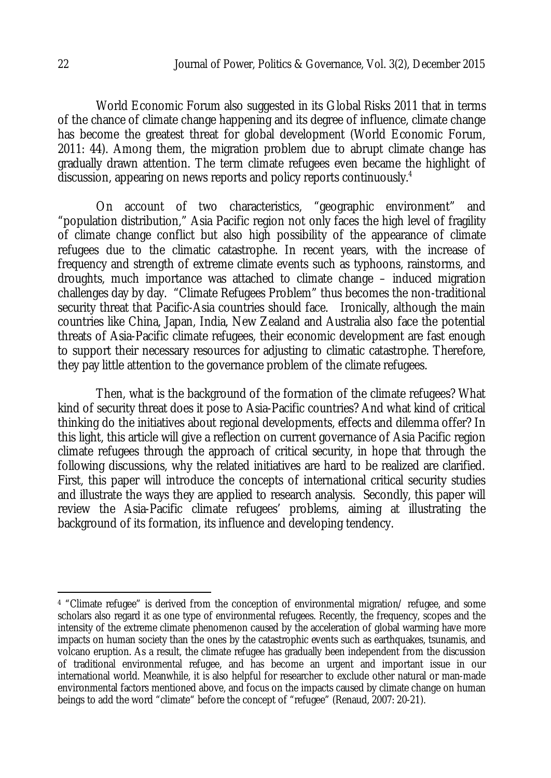World Economic Forum also suggested in its Global Risks 2011 that in terms of the chance of climate change happening and its degree of influence, climate change has become the greatest threat for global development (World Economic Forum, 2011: 44). Among them, the migration problem due to abrupt climate change has gradually drawn attention. The term climate refugees even became the highlight of discussion, appearing on news reports and policy reports continuously.<sup>4</sup>

On account of two characteristics, "geographic environment" and "population distribution," Asia Pacific region not only faces the high level of fragility of climate change conflict but also high possibility of the appearance of climate refugees due to the climatic catastrophe. In recent years, with the increase of frequency and strength of extreme climate events such as typhoons, rainstorms, and droughts, much importance was attached to climate change – induced migration challenges day by day. "Climate Refugees Problem" thus becomes the non-traditional security threat that Pacific-Asia countries should face. Ironically, although the main countries like China, Japan, India, New Zealand and Australia also face the potential threats of Asia-Pacific climate refugees, their economic development are fast enough to support their necessary resources for adjusting to climatic catastrophe. Therefore, they pay little attention to the governance problem of the climate refugees.

Then, what is the background of the formation of the climate refugees? What kind of security threat does it pose to Asia-Pacific countries? And what kind of critical thinking do the initiatives about regional developments, effects and dilemma offer? In this light, this article will give a reflection on current governance of Asia Pacific region climate refugees through the approach of critical security, in hope that through the following discussions, why the related initiatives are hard to be realized are clarified. First, this paper will introduce the concepts of international critical security studies and illustrate the ways they are applied to research analysis. Secondly, this paper will review the Asia-Pacific climate refugees' problems, aiming at illustrating the background of its formation, its influence and developing tendency.

 $\overline{a}$ 

<sup>4</sup> "Climate refugee" is derived from the conception of environmental migration/ refugee, and some scholars also regard it as one type of environmental refugees. Recently, the frequency, scopes and the intensity of the extreme climate phenomenon caused by the acceleration of global warming have more impacts on human society than the ones by the catastrophic events such as earthquakes, tsunamis, and volcano eruption. As a result, the climate refugee has gradually been independent from the discussion of traditional environmental refugee, and has become an urgent and important issue in our international world. Meanwhile, it is also helpful for researcher to exclude other natural or man-made environmental factors mentioned above, and focus on the impacts caused by climate change on human beings to add the word "climate" before the concept of "refugee" (Renaud, 2007: 20-21).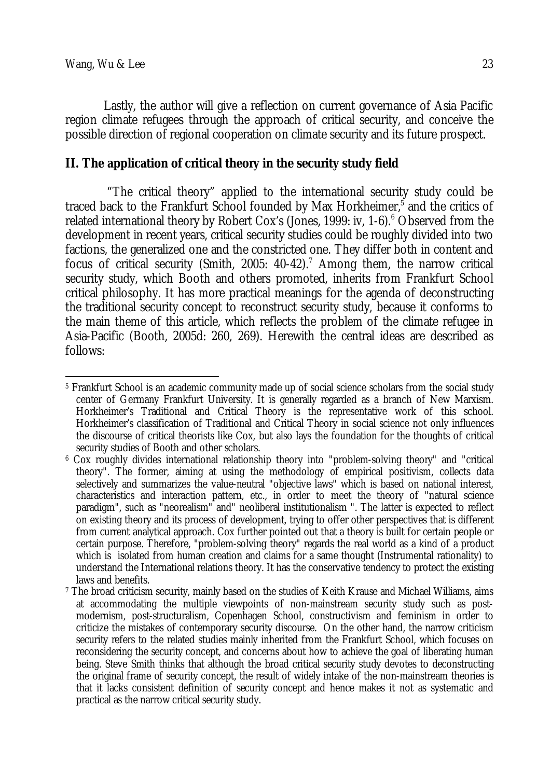Lastly, the author will give a reflection on current governance of Asia Pacific region climate refugees through the approach of critical security, and conceive the possible direction of regional cooperation on climate security and its future prospect.

## **II. The application of critical theory in the security study field**

"The critical theory" applied to the international security study could be traced back to the Frankfurt School founded by Max Horkheimer,<sup>5</sup> and the critics of related international theory by Robert Cox's (Jones, 1999: iv, 1-6).<sup>6</sup> Observed from the development in recent years, critical security studies could be roughly divided into two factions, the generalized one and the constricted one. They differ both in content and focus of critical security (Smith, 2005: 40-42).<sup>7</sup> Among them, the narrow critical security study, which Booth and others promoted, inherits from Frankfurt School critical philosophy. It has more practical meanings for the agenda of deconstructing the traditional security concept to reconstruct security study, because it conforms to the main theme of this article, which reflects the problem of the climate refugee in Asia-Pacific (Booth, 2005d: 260, 269). Herewith the central ideas are described as follows:

 $\overline{\phantom{a}}$ <sup>5</sup> Frankfurt School is an academic community made up of social science scholars from the social study center of Germany Frankfurt University. It is generally regarded as a branch of New Marxism. Horkheimer's Traditional and Critical Theory is the representative work of this school. Horkheimer's classification of Traditional and Critical Theory in social science not only influences the discourse of critical theorists like Cox, but also lays the foundation for the thoughts of critical security studies of Booth and other scholars.

<sup>6</sup> Cox roughly divides international relationship theory into "problem-solving theory" and "critical theory". The former, aiming at using the methodology of empirical positivism, collects data selectively and summarizes the value-neutral "objective laws" which is based on national interest, characteristics and interaction pattern, etc., in order to meet the theory of "natural science paradigm", such as "neorealism" and" neoliberal institutionalism ". The latter is expected to reflect on existing theory and its process of development, trying to offer other perspectives that is different from current analytical approach. Cox further pointed out that a theory is built for certain people or certain purpose. Therefore, "problem-solving theory" regards the real world as a kind of a product which is isolated from human creation and claims for a same thought (Instrumental rationality) to understand the International relations theory. It has the conservative tendency to protect the existing laws and benefits.

<sup>7</sup> The broad criticism security, mainly based on the studies of Keith Krause and Michael Williams, aims at accommodating the multiple viewpoints of non-mainstream security study such as postmodernism, post-structuralism, Copenhagen School, constructivism and feminism in order to criticize the mistakes of contemporary security discourse. On the other hand, the narrow criticism security refers to the related studies mainly inherited from the Frankfurt School, which focuses on reconsidering the security concept, and concerns about how to achieve the goal of liberating human being. Steve Smith thinks that although the broad critical security study devotes to deconstructing the original frame of security concept, the result of widely intake of the non-mainstream theories is that it lacks consistent definition of security concept and hence makes it not as systematic and practical as the narrow critical security study.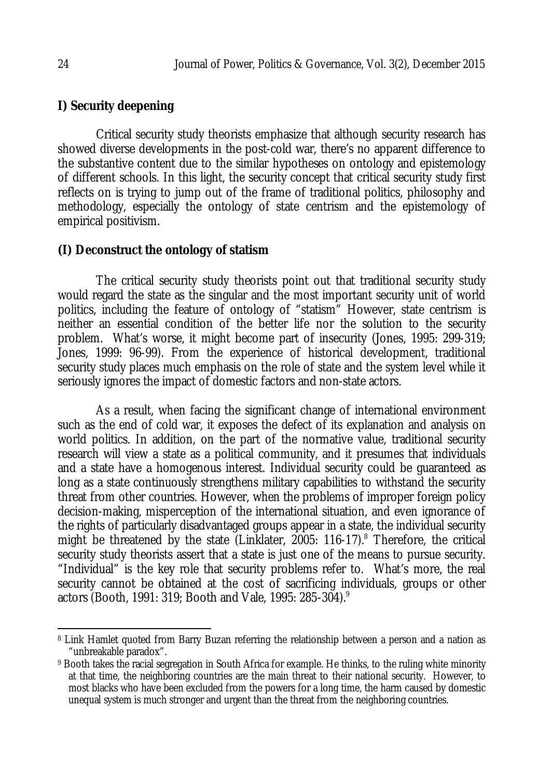## **I) Security deepening**

Critical security study theorists emphasize that although security research has showed diverse developments in the post-cold war, there's no apparent difference to the substantive content due to the similar hypotheses on ontology and epistemology of different schools. In this light, the security concept that critical security study first reflects on is trying to jump out of the frame of traditional politics, philosophy and methodology, especially the ontology of state centrism and the epistemology of empirical positivism.

#### **(I) Deconstruct the ontology of statism**

The critical security study theorists point out that traditional security study would regard the state as the singular and the most important security unit of world politics, including the feature of ontology of "statism" However, state centrism is neither an essential condition of the better life nor the solution to the security problem. What's worse, it might become part of insecurity (Jones, 1995: 299-319; Jones, 1999: 96-99). From the experience of historical development, traditional security study places much emphasis on the role of state and the system level while it seriously ignores the impact of domestic factors and non-state actors.

As a result, when facing the significant change of international environment such as the end of cold war, it exposes the defect of its explanation and analysis on world politics. In addition, on the part of the normative value, traditional security research will view a state as a political community, and it presumes that individuals and a state have a homogenous interest. Individual security could be guaranteed as long as a state continuously strengthens military capabilities to withstand the security threat from other countries. However, when the problems of improper foreign policy decision-making, misperception of the international situation, and even ignorance of the rights of particularly disadvantaged groups appear in a state, the individual security might be threatened by the state (Linklater, 2005: 116-17).<sup>8</sup> Therefore, the critical security study theorists assert that a state is just one of the means to pursue security. "Individual" is the key role that security problems refer to. What's more, the real security cannot be obtained at the cost of sacrificing individuals, groups or other actors (Booth, 1991: 319; Booth and Vale, 1995: 285-304).<sup>9</sup>

 $\overline{\phantom{a}}$ <sup>8</sup> Link Hamlet quoted from Barry Buzan referring the relationship between a person and a nation as "unbreakable paradox".

<sup>&</sup>lt;sup>9</sup> Booth takes the racial segregation in South Africa for example. He thinks, to the ruling white minority at that time, the neighboring countries are the main threat to their national security. However, to most blacks who have been excluded from the powers for a long time, the harm caused by domestic unequal system is much stronger and urgent than the threat from the neighboring countries.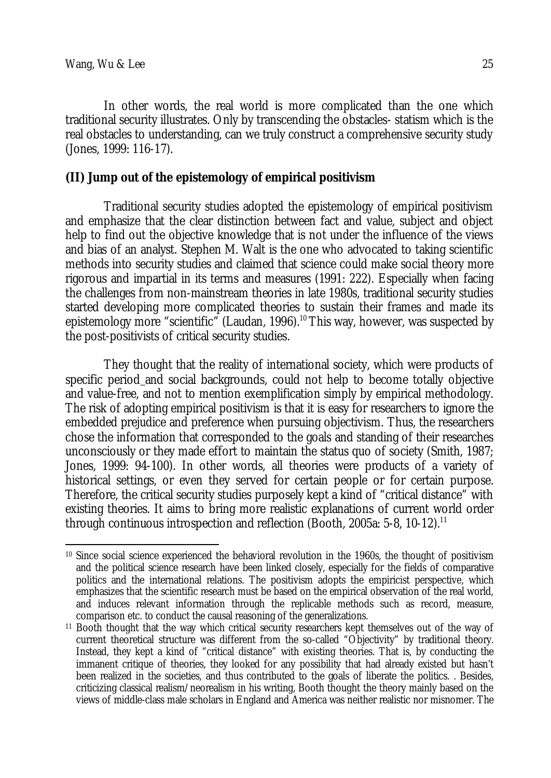In other words, the real world is more complicated than the one which traditional security illustrates. Only by transcending the obstacles- statism which is the real obstacles to understanding, can we truly construct a comprehensive security study (Jones, 1999: 116-17).

#### **(II) Jump out of the epistemology of empirical positivism**

Traditional security studies adopted the epistemology of empirical positivism and emphasize that the clear distinction between fact and value, subject and object help to find out the objective knowledge that is not under the influence of the views and bias of an analyst. Stephen M. Walt is the one who advocated to taking scientific methods into security studies and claimed that science could make social theory more rigorous and impartial in its terms and measures (1991: 222). Especially when facing the challenges from non-mainstream theories in late 1980s, traditional security studies started developing more complicated theories to sustain their frames and made its epistemology more "scientific" (Laudan, 1996).<sup>10</sup> This way, however, was suspected by the post-positivists of critical security studies.

They thought that the reality of international society, which were products of specific period and social backgrounds, could not help to become totally objective and value-free, and not to mention exemplification simply by empirical methodology. The risk of adopting empirical positivism is that it is easy for researchers to ignore the embedded prejudice and preference when pursuing objectivism. Thus, the researchers chose the information that corresponded to the goals and standing of their researches unconsciously or they made effort to maintain the status quo of society (Smith, 1987; Jones, 1999: 94-100). In other words, all theories were products of a variety of historical settings, or even they served for certain people or for certain purpose. Therefore, the critical security studies purposely kept a kind of "critical distance" with existing theories. It aims to bring more realistic explanations of current world order through continuous introspection and reflection (Booth, 2005a: 5-8, 10-12).<sup>11</sup>

 $\overline{\phantom{a}}$ <sup>10</sup> Since social science experienced the behavioral revolution in the 1960s, the thought of positivism and the political science research have been linked closely, especially for the fields of comparative politics and the international relations. The positivism adopts the empiricist perspective, which emphasizes that the scientific research must be based on the empirical observation of the real world, and induces relevant information through the replicable methods such as record, measure, comparison etc. to conduct the causal reasoning of the generalizations.

<sup>11</sup> Booth thought that the way which critical security researchers kept themselves out of the way of current theoretical structure was different from the so-called "Objectivity" by traditional theory. Instead, they kept a kind of "critical distance" with existing theories. That is, by conducting the immanent critique of theories, they looked for any possibility that had already existed but hasn't been realized in the societies, and thus contributed to the goals of liberate the politics. . Besides, criticizing classical realism/neorealism in his writing, Booth thought the theory mainly based on the views of middle-class male scholars in England and America was neither realistic nor misnomer. The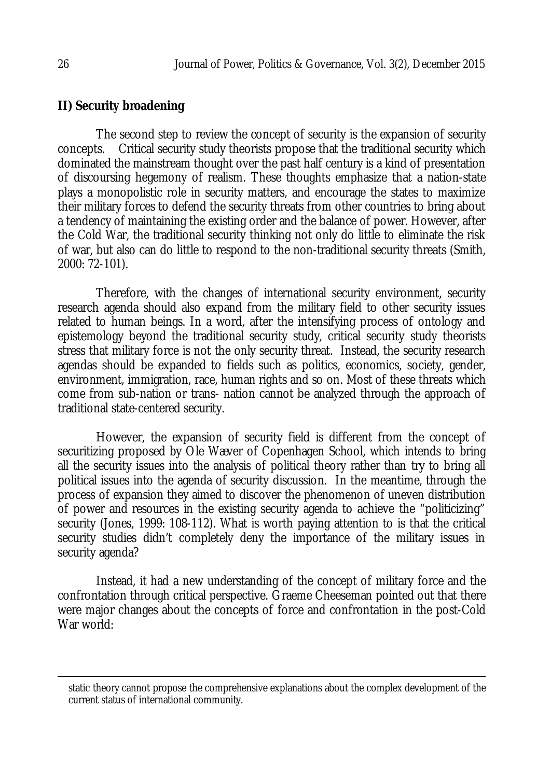## **II) Security broadening**

The second step to review the concept of security is the expansion of security concepts. Critical security study theorists propose that the traditional security which dominated the mainstream thought over the past half century is a kind of presentation of discoursing hegemony of realism. These thoughts emphasize that a nation-state plays a monopolistic role in security matters, and encourage the states to maximize their military forces to defend the security threats from other countries to bring about a tendency of maintaining the existing order and the balance of power. However, after the Cold War, the traditional security thinking not only do little to eliminate the risk of war, but also can do little to respond to the non-traditional security threats (Smith, 2000: 72-101).

Therefore, with the changes of international security environment, security research agenda should also expand from the military field to other security issues related to human beings. In a word, after the intensifying process of ontology and epistemology beyond the traditional security study, critical security study theorists stress that military force is not the only security threat. Instead, the security research agendas should be expanded to fields such as politics, economics, society, gender, environment, immigration, race, human rights and so on. Most of these threats which come from sub-nation or trans- nation cannot be analyzed through the approach of traditional state-centered security.

However, the expansion of security field is different from the concept of securitizing proposed by Ole Wæver of Copenhagen School, which intends to bring all the security issues into the analysis of political theory rather than try to bring all political issues into the agenda of security discussion. In the meantime, through the process of expansion they aimed to discover the phenomenon of uneven distribution of power and resources in the existing security agenda to achieve the "politicizing" security (Jones, 1999: 108-112). What is worth paying attention to is that the critical security studies didn't completely deny the importance of the military issues in security agenda?

Instead, it had a new understanding of the concept of military force and the confrontation through critical perspective. Graeme Cheeseman pointed out that there were major changes about the concepts of force and confrontation in the post-Cold War world:

 $\overline{a}$ 

static theory cannot propose the comprehensive explanations about the complex development of the current status of international community.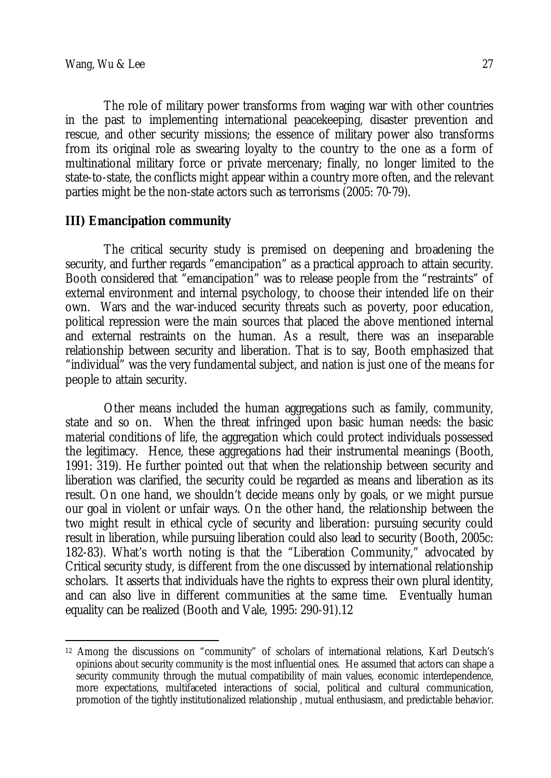The role of military power transforms from waging war with other countries in the past to implementing international peacekeeping, disaster prevention and rescue, and other security missions; the essence of military power also transforms from its original role as swearing loyalty to the country to the one as a form of multinational military force or private mercenary; finally, no longer limited to the state-to-state, the conflicts might appear within a country more often, and the relevant parties might be the non-state actors such as terrorisms (2005: 70-79).

## **III) Emancipation community**

The critical security study is premised on deepening and broadening the security, and further regards "emancipation" as a practical approach to attain security. Booth considered that "emancipation" was to release people from the "restraints" of external environment and internal psychology, to choose their intended life on their own. Wars and the war-induced security threats such as poverty, poor education, political repression were the main sources that placed the above mentioned internal and external restraints on the human. As a result, there was an inseparable relationship between security and liberation. That is to say, Booth emphasized that "individual" was the very fundamental subject, and nation is just one of the means for people to attain security.

Other means included the human aggregations such as family, community, state and so on. When the threat infringed upon basic human needs: the basic material conditions of life, the aggregation which could protect individuals possessed the legitimacy. Hence, these aggregations had their instrumental meanings (Booth, 1991: 319). He further pointed out that when the relationship between security and liberation was clarified, the security could be regarded as means and liberation as its result. On one hand, we shouldn't decide means only by goals, or we might pursue our goal in violent or unfair ways. On the other hand, the relationship between the two might result in ethical cycle of security and liberation: pursuing security could result in liberation, while pursuing liberation could also lead to security (Booth, 2005c: 182-83). What's worth noting is that the "Liberation Community," advocated by Critical security study, is different from the one discussed by international relationship scholars. It asserts that individuals have the rights to express their own plural identity, and can also live in different communities at the same time. Eventually human equality can be realized (Booth and Vale, 1995: 290-91).12

 $\overline{\phantom{a}}$ <sup>12</sup> Among the discussions on "community" of scholars of international relations, Karl Deutsch's opinions about security community is the most influential ones. He assumed that actors can shape a security community through the mutual compatibility of main values, economic interdependence, more expectations, multifaceted interactions of social, political and cultural communication, promotion of the tightly institutionalized relationship , mutual enthusiasm, and predictable behavior.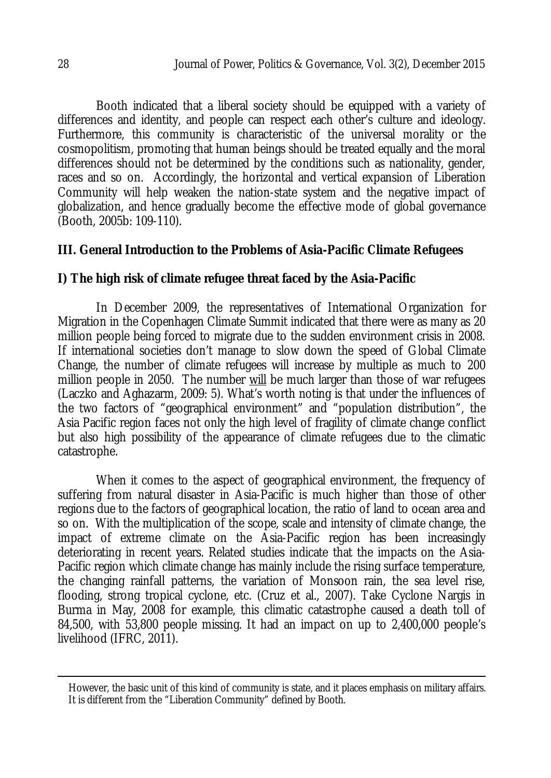Booth indicated that a liberal society should be equipped with a variety of differences and identity, and people can respect each other's culture and ideology. Furthermore, this community is characteristic of the universal morality or the cosmopolitism, promoting that human beings should be treated equally and the moral differences should not be determined by the conditions such as nationality, gender, races and so on. Accordingly, the horizontal and vertical expansion of Liberation Community will help weaken the nation-state system and the negative impact of globalization, and hence gradually become the effective mode of global governance (Booth, 2005b: 109-110).

## **III. General Introduction to the Problems of Asia-Pacific Climate Refugees**

## **I) The high risk of climate refugee threat faced by the Asia-Pacific**

In December 2009, the representatives of International Organization for Migration in the Copenhagen Climate Summit indicated that there were as many as 20 million people being forced to migrate due to the sudden environment crisis in 2008. If international societies don't manage to slow down the speed of Global Climate Change, the number of climate refugees will increase by multiple as much to 200 million people in 2050. The number will be much larger than those of war refugees (Laczko and Aghazarm, 2009: 5). What's worth noting is that under the influences of the two factors of "geographical environment" and "population distribution", the Asia Pacific region faces not only the high level of fragility of climate change conflict but also high possibility of the appearance of climate refugees due to the climatic catastrophe.

When it comes to the aspect of geographical environment, the frequency of suffering from natural disaster in Asia-Pacific is much higher than those of other regions due to the factors of geographical location, the ratio of land to ocean area and so on. With the multiplication of the scope, scale and intensity of climate change, the impact of extreme climate on the Asia-Pacific region has been increasingly deteriorating in recent years. Related studies indicate that the impacts on the Asia-Pacific region which climate change has mainly include the rising surface temperature, the changing rainfall patterns, the variation of Monsoon rain, the sea level rise, flooding, strong tropical cyclone, etc. (Cruz et al., 2007). Take Cyclone Nargis in Burma in May, 2008 for example, this climatic catastrophe caused a death toll of 84,500, with 53,800 people missing. It had an impact on up to 2,400,000 people's livelihood (IFRC, 2011).

 $\overline{a}$ 

However, the basic unit of this kind of community is state, and it places emphasis on military affairs. It is different from the "Liberation Community" defined by Booth.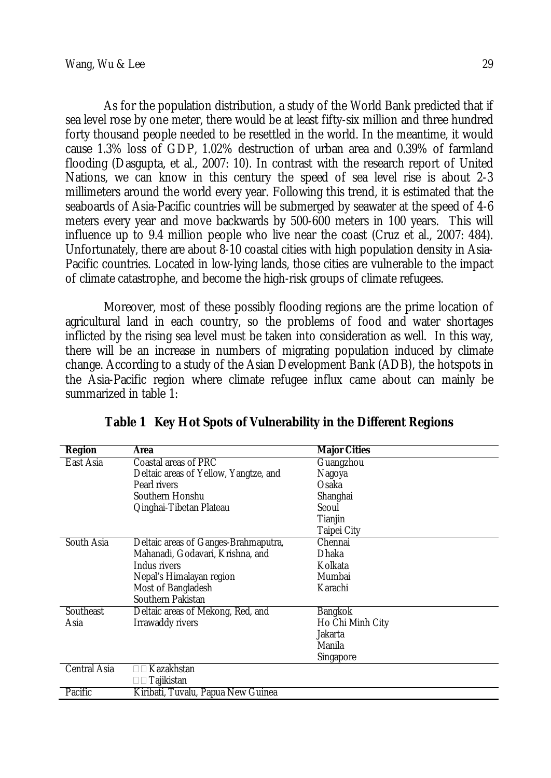As for the population distribution, a study of the World Bank predicted that if sea level rose by one meter, there would be at least fifty-six million and three hundred forty thousand people needed to be resettled in the world. In the meantime, it would cause 1.3% loss of GDP, 1.02% destruction of urban area and 0.39% of farmland flooding (Dasgupta, et al., 2007: 10). In contrast with the research report of United Nations, we can know in this century the speed of sea level rise is about 2-3 millimeters around the world every year. Following this trend, it is estimated that the seaboards of Asia-Pacific countries will be submerged by seawater at the speed of 4-6 meters every year and move backwards by 500-600 meters in 100 years. This will influence up to 9.4 million people who live near the coast (Cruz et al., 2007: 484). Unfortunately, there are about 8-10 coastal cities with high population density in Asia-Pacific countries. Located in low-lying lands, those cities are vulnerable to the impact of climate catastrophe, and become the high-risk groups of climate refugees.

Moreover, most of these possibly flooding regions are the prime location of agricultural land in each country, so the problems of food and water shortages inflicted by the rising sea level must be taken into consideration as well. In this way, there will be an increase in numbers of migrating population induced by climate change. According to a study of the Asian Development Bank (ADB), the hotspots in the Asia-Pacific region where climate refugee influx came about can mainly be summarized in table 1:

| Region       | Area                                  | <b>Major Cities</b> |
|--------------|---------------------------------------|---------------------|
| East Asia    | Coastal areas of PRC                  | Guangzhou           |
|              | Deltaic areas of Yellow, Yangtze, and | Nagoya              |
|              | Pearl rivers                          | Osaka               |
|              | Southern Honshu                       | Shanghai            |
|              | Qinghai-Tibetan Plateau               | Seoul               |
|              |                                       | Tianjin             |
|              |                                       | Taipei City         |
| South Asia   | Deltaic areas of Ganges-Brahmaputra,  | Chennai             |
|              | Mahanadi, Godavari, Krishna, and      | Dhaka               |
|              | Indus rivers                          | Kolkata             |
|              | Nepal's Himalayan region              | Mumbai              |
|              | Most of Bangladesh                    | Karachi             |
|              | Southern Pakistan                     |                     |
| Southeast    | Deltaic areas of Mekong, Red, and     | <b>Bangkok</b>      |
| Asia         | Irrawaddy rivers                      | Ho Chi Minh City    |
|              |                                       | Jakarta             |
|              |                                       | Manila              |
|              |                                       | Singapore           |
| Central Asia | Kazakhstan                            |                     |
|              | $\square \square$ Tajikistan          |                     |
| Pacific      | Kiribati, Tuvalu, Papua New Guinea    |                     |

**Table 1 Key Hot Spots of Vulnerability in the Different Regions**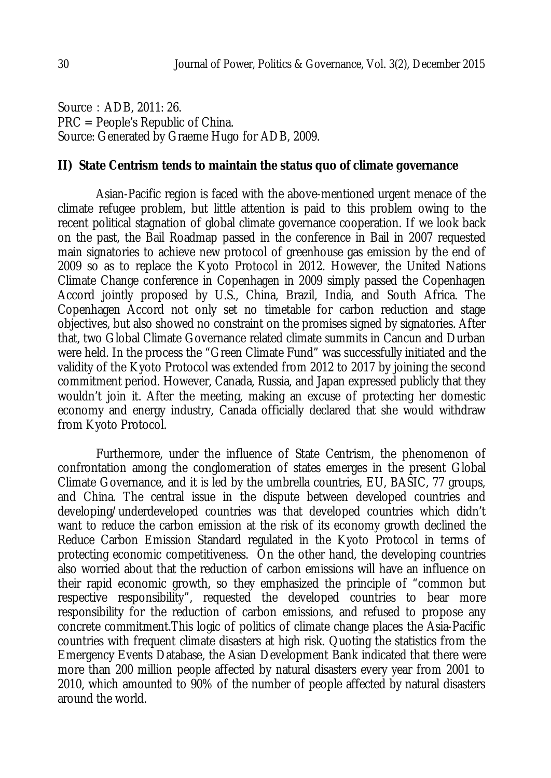Source: ADB, 2011: 26. PRC = People's Republic of China. Source: Generated by Graeme Hugo for ADB, 2009.

#### **II) State Centrism tends to maintain the status quo of climate governance**

Asian-Pacific region is faced with the above-mentioned urgent menace of the climate refugee problem, but little attention is paid to this problem owing to the recent political stagnation of global climate governance cooperation. If we look back on the past, the Bail Roadmap passed in the conference in Bail in 2007 requested main signatories to achieve new protocol of greenhouse gas emission by the end of 2009 so as to replace the Kyoto Protocol in 2012. However, the United Nations Climate Change conference in Copenhagen in 2009 simply passed the Copenhagen Accord jointly proposed by U.S., China, Brazil, India, and South Africa. The Copenhagen Accord not only set no timetable for carbon reduction and stage objectives, but also showed no constraint on the promises signed by signatories. After that, two Global Climate Governance related climate summits in Cancun and Durban were held. In the process the "Green Climate Fund" was successfully initiated and the validity of the Kyoto Protocol was extended from 2012 to 2017 by joining the second commitment period. However, Canada, Russia, and Japan expressed publicly that they wouldn't join it. After the meeting, making an excuse of protecting her domestic economy and energy industry, Canada officially declared that she would withdraw from Kyoto Protocol.

Furthermore, under the influence of State Centrism, the phenomenon of confrontation among the conglomeration of states emerges in the present Global Climate Governance, and it is led by the umbrella countries, EU, BASIC, 77 groups, and China. The central issue in the dispute between developed countries and developing/underdeveloped countries was that developed countries which didn't want to reduce the carbon emission at the risk of its economy growth declined the Reduce Carbon Emission Standard regulated in the Kyoto Protocol in terms of protecting economic competitiveness. On the other hand, the developing countries also worried about that the reduction of carbon emissions will have an influence on their rapid economic growth, so they emphasized the principle of "common but respective responsibility", requested the developed countries to bear more responsibility for the reduction of carbon emissions, and refused to propose any concrete commitment.This logic of politics of climate change places the Asia-Pacific countries with frequent climate disasters at high risk. Quoting the statistics from the Emergency Events Database, the Asian Development Bank indicated that there were more than 200 million people affected by natural disasters every year from 2001 to 2010, which amounted to 90% of the number of people affected by natural disasters around the world.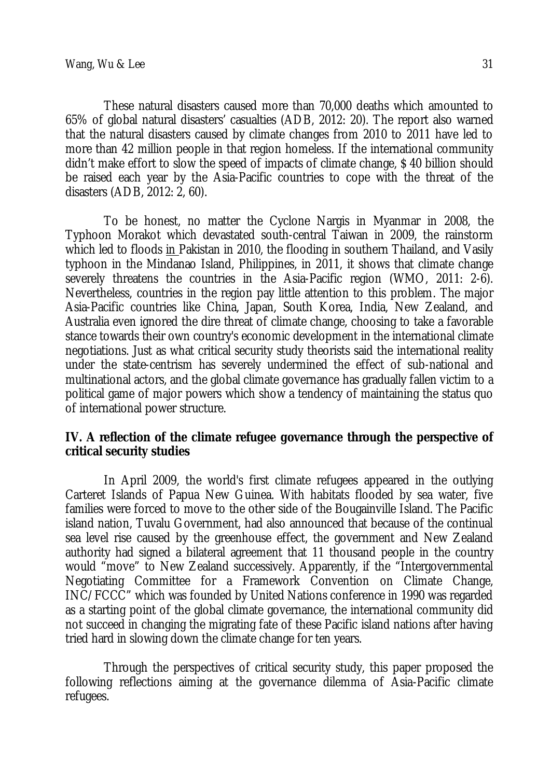These natural disasters caused more than 70,000 deaths which amounted to 65% of global natural disasters' casualties (ADB, 2012: 20). The report also warned that the natural disasters caused by climate changes from 2010 to 2011 have led to more than 42 million people in that region homeless. If the international community didn't make effort to slow the speed of impacts of climate change, \$ 40 billion should be raised each year by the Asia-Pacific countries to cope with the threat of the disasters (ADB, 2012: 2, 60).

To be honest, no matter the Cyclone Nargis in Myanmar in 2008, the Typhoon Morakot which devastated south-central Taiwan in 2009, the rainstorm which led to floods in Pakistan in 2010, the flooding in southern Thailand, and Vasily typhoon in the Mindanao Island, Philippines, in 2011, it shows that climate change severely threatens the countries in the Asia-Pacific region (WMO, 2011: 2-6). Nevertheless, countries in the region pay little attention to this problem. The major Asia-Pacific countries like China, Japan, South Korea, India, New Zealand, and Australia even ignored the dire threat of climate change, choosing to take a favorable stance towards their own country's economic development in the international climate negotiations. Just as what critical security study theorists said the international reality under the state-centrism has severely undermined the effect of sub-national and multinational actors, and the global climate governance has gradually fallen victim to a political game of major powers which show a tendency of maintaining the status quo of international power structure.

#### **IV. A reflection of the climate refugee governance through the perspective of critical security studies**

In April 2009, the world's first climate refugees appeared in the outlying Carteret Islands of Papua New Guinea. With habitats flooded by sea water, five families were forced to move to the other side of the Bougainville Island. The Pacific island nation, Tuvalu Government, had also announced that because of the continual sea level rise caused by the greenhouse effect, the government and New Zealand authority had signed a bilateral agreement that 11 thousand people in the country would "move" to New Zealand successively. Apparently, if the "Intergovernmental Negotiating Committee for a Framework Convention on Climate Change, INC/FCCC" which was founded by United Nations conference in 1990 was regarded as a starting point of the global climate governance, the international community did not succeed in changing the migrating fate of these Pacific island nations after having tried hard in slowing down the climate change for ten years.

Through the perspectives of critical security study, this paper proposed the following reflections aiming at the governance dilemma of Asia-Pacific climate refugees.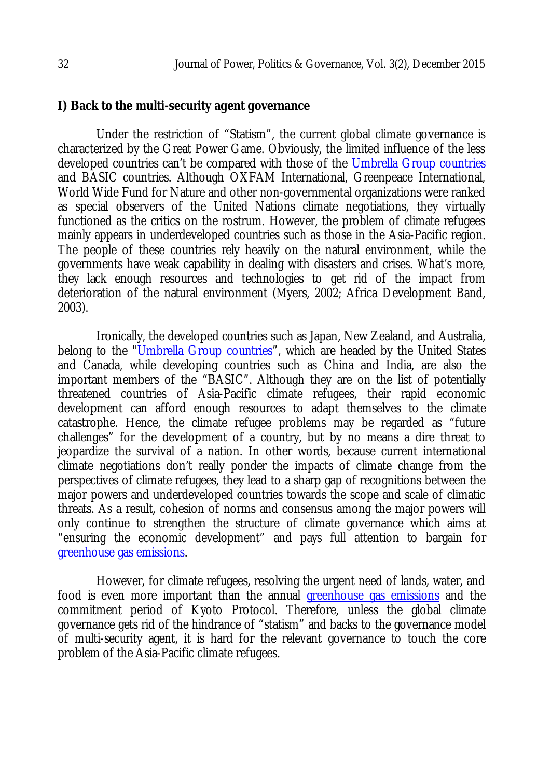#### **I) Back to the multi-security agent governance**

Under the restriction of "Statism", the current global climate governance is characterized by the Great Power Game. Obviously, the limited influence of the less developed countries can't be compared with those of the Umbrella Group countries and BASIC countries. Although OXFAM International, Greenpeace International, World Wide Fund for Nature and other non-governmental organizations were ranked as special observers of the United Nations climate negotiations, they virtually functioned as the critics on the rostrum. However, the problem of climate refugees mainly appears in underdeveloped countries such as those in the Asia-Pacific region. The people of these countries rely heavily on the natural environment, while the governments have weak capability in dealing with disasters and crises. What's more, they lack enough resources and technologies to get rid of the impact from deterioration of the natural environment (Myers, 2002; Africa Development Band, 2003).

Ironically, the developed countries such as Japan, New Zealand, and Australia, belong to the "Umbrella Group countries", which are headed by the United States and Canada, while developing countries such as China and India, are also the important members of the "BASIC". Although they are on the list of potentially threatened countries of Asia-Pacific climate refugees, their rapid economic development can afford enough resources to adapt themselves to the climate catastrophe. Hence, the climate refugee problems may be regarded as "future challenges" for the development of a country, but by no means a dire threat to jeopardize the survival of a nation. In other words, because current international climate negotiations don't really ponder the impacts of climate change from the perspectives of climate refugees, they lead to a sharp gap of recognitions between the major powers and underdeveloped countries towards the scope and scale of climatic threats. As a result, cohesion of norms and consensus among the major powers will only continue to strengthen the structure of climate governance which aims at "ensuring the economic development" and pays full attention to bargain for greenhouse gas emissions.

However, for climate refugees, resolving the urgent need of lands, water, and food is even more important than the annual *greenhouse gas emissions* and the commitment period of Kyoto Protocol. Therefore, unless the global climate governance gets rid of the hindrance of "statism" and backs to the governance model of multi-security agent, it is hard for the relevant governance to touch the core problem of the Asia-Pacific climate refugees.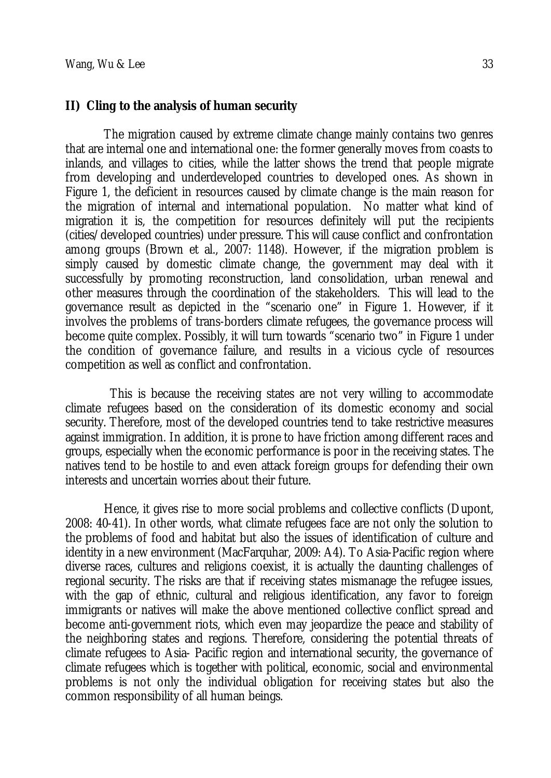#### **II) Cling to the analysis of human security**

The migration caused by extreme climate change mainly contains two genres that are internal one and international one: the former generally moves from coasts to inlands, and villages to cities, while the latter shows the trend that people migrate from developing and underdeveloped countries to developed ones. As shown in Figure 1, the deficient in resources caused by climate change is the main reason for the migration of internal and international population. No matter what kind of migration it is, the competition for resources definitely will put the recipients (cities/developed countries) under pressure. This will cause conflict and confrontation among groups (Brown et al., 2007: 1148). However, if the migration problem is simply caused by domestic climate change, the government may deal with it successfully by promoting reconstruction, land consolidation, urban renewal and other measures through the coordination of the stakeholders. This will lead to the governance result as depicted in the "scenario one" in Figure 1. However, if it involves the problems of trans-borders climate refugees, the governance process will become quite complex. Possibly, it will turn towards "scenario two" in Figure 1 under the condition of governance failure, and results in a vicious cycle of resources competition as well as conflict and confrontation.

 This is because the receiving states are not very willing to accommodate climate refugees based on the consideration of its domestic economy and social security. Therefore, most of the developed countries tend to take restrictive measures against immigration. In addition, it is prone to have friction among different races and groups, especially when the economic performance is poor in the receiving states. The natives tend to be hostile to and even attack foreign groups for defending their own interests and uncertain worries about their future.

Hence, it gives rise to more social problems and collective conflicts (Dupont, 2008: 40-41). In other words, what climate refugees face are not only the solution to the problems of food and habitat but also the issues of identification of culture and identity in a new environment (MacFarquhar, 2009: A4). To Asia-Pacific region where diverse races, cultures and religions coexist, it is actually the daunting challenges of regional security. The risks are that if receiving states mismanage the refugee issues, with the gap of ethnic, cultural and religious identification, any favor to foreign immigrants or natives will make the above mentioned collective conflict spread and become anti-government riots, which even may jeopardize the peace and stability of the neighboring states and regions. Therefore, considering the potential threats of climate refugees to Asia- Pacific region and international security, the governance of climate refugees which is together with political, economic, social and environmental problems is not only the individual obligation for receiving states but also the common responsibility of all human beings.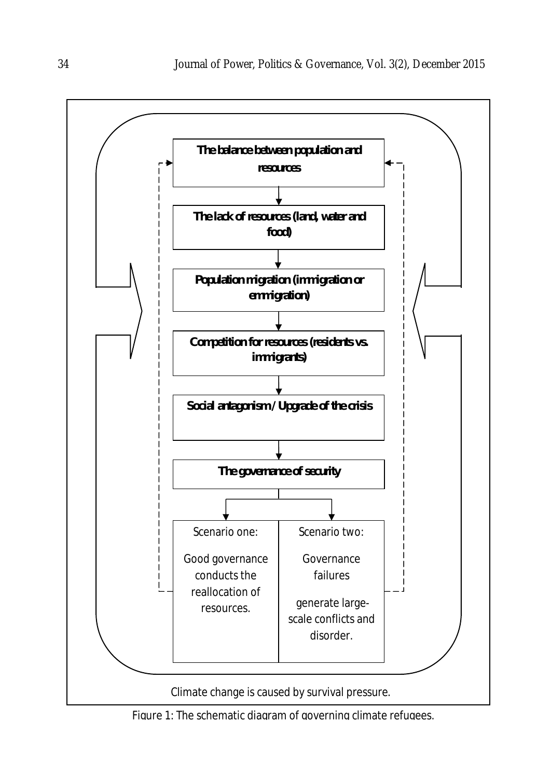

Figure 1: The schematic diagram of governing climate refugees.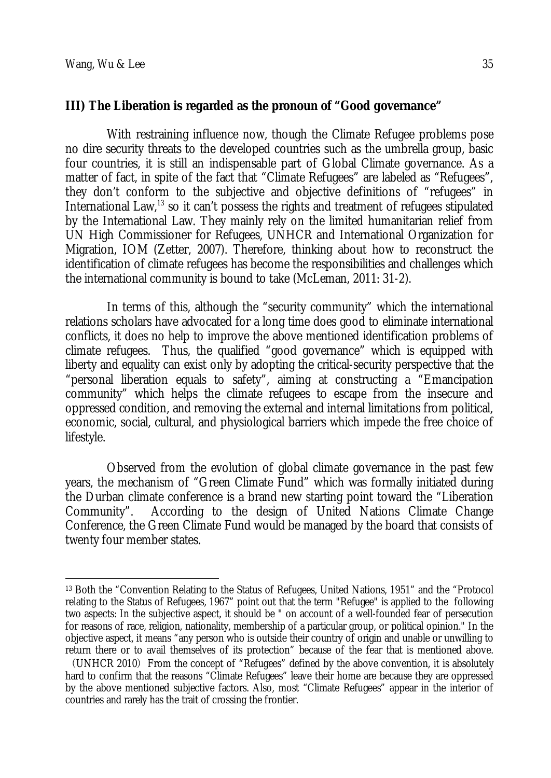$\overline{\phantom{a}}$ 

## **III) The Liberation is regarded as the pronoun of "Good governance"**

With restraining influence now, though the Climate Refugee problems pose no dire security threats to the developed countries such as the umbrella group, basic four countries, it is still an indispensable part of Global Climate governance. As a matter of fact, in spite of the fact that "Climate Refugees" are labeled as "Refugees", they don't conform to the subjective and objective definitions of "refugees" in International Law,<sup>13</sup> so it can't possess the rights and treatment of refugees stipulated by the International Law. They mainly rely on the limited humanitarian relief from UN High Commissioner for Refugees, UNHCR and International Organization for Migration, IOM (Zetter, 2007). Therefore, thinking about how to reconstruct the identification of climate refugees has become the responsibilities and challenges which the international community is bound to take (McLeman, 2011: 31-2).

In terms of this, although the "security community" which the international relations scholars have advocated for a long time does good to eliminate international conflicts, it does no help to improve the above mentioned identification problems of climate refugees. Thus, the qualified "good governance" which is equipped with liberty and equality can exist only by adopting the critical-security perspective that the "personal liberation equals to safety", aiming at constructing a "Emancipation community" which helps the climate refugees to escape from the insecure and oppressed condition, and removing the external and internal limitations from political, economic, social, cultural, and physiological barriers which impede the free choice of lifestyle.

Observed from the evolution of global climate governance in the past few years, the mechanism of "Green Climate Fund" which was formally initiated during the Durban climate conference is a brand new starting point toward the "Liberation Community". According to the design of United Nations Climate Change Conference, the Green Climate Fund would be managed by the board that consists of twenty four member states.

<sup>13</sup> Both the "Convention Relating to the Status of Refugees, United Nations, 1951" and the "Protocol relating to the Status of Refugees, 1967" point out that the term "Refugee" is applied to the following two aspects: In the subjective aspect, it should be " on account of a well-founded fear of persecution for reasons of race, religion, nationality, membership of a particular group, or political opinion." In the objective aspect, it means "any person who is outside their country of origin and unable or unwilling to return there or to avail themselves of its protection" because of the fear that is mentioned above.

<sup>(</sup>UNHCR 2010) From the concept of "Refugees" defined by the above convention, it is absolutely hard to confirm that the reasons "Climate Refugees" leave their home are because they are oppressed by the above mentioned subjective factors. Also, most "Climate Refugees" appear in the interior of countries and rarely has the trait of crossing the frontier.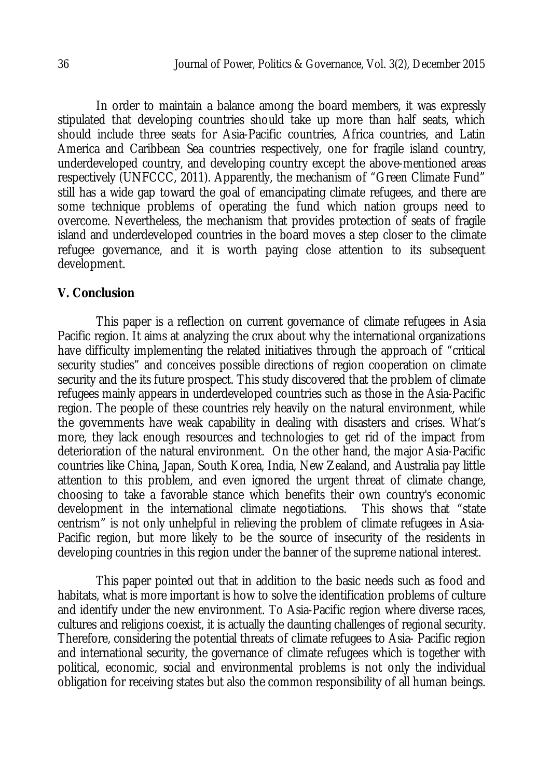In order to maintain a balance among the board members, it was expressly stipulated that developing countries should take up more than half seats, which should include three seats for Asia-Pacific countries, Africa countries, and Latin America and Caribbean Sea countries respectively, one for fragile island country, underdeveloped country, and developing country except the above-mentioned areas respectively (UNFCCC, 2011). Apparently, the mechanism of "Green Climate Fund" still has a wide gap toward the goal of emancipating climate refugees, and there are some technique problems of operating the fund which nation groups need to overcome. Nevertheless, the mechanism that provides protection of seats of fragile island and underdeveloped countries in the board moves a step closer to the climate refugee governance, and it is worth paying close attention to its subsequent development.

#### **V. Conclusion**

This paper is a reflection on current governance of climate refugees in Asia Pacific region. It aims at analyzing the crux about why the international organizations have difficulty implementing the related initiatives through the approach of "critical security studies" and conceives possible directions of region cooperation on climate security and the its future prospect. This study discovered that the problem of climate refugees mainly appears in underdeveloped countries such as those in the Asia-Pacific region. The people of these countries rely heavily on the natural environment, while the governments have weak capability in dealing with disasters and crises. What's more, they lack enough resources and technologies to get rid of the impact from deterioration of the natural environment. On the other hand, the major Asia-Pacific countries like China, Japan, South Korea, India, New Zealand, and Australia pay little attention to this problem, and even ignored the urgent threat of climate change, choosing to take a favorable stance which benefits their own country's economic development in the international climate negotiations. This shows that "state centrism" is not only unhelpful in relieving the problem of climate refugees in Asia-Pacific region, but more likely to be the source of insecurity of the residents in developing countries in this region under the banner of the supreme national interest.

This paper pointed out that in addition to the basic needs such as food and habitats, what is more important is how to solve the identification problems of culture and identify under the new environment. To Asia-Pacific region where diverse races, cultures and religions coexist, it is actually the daunting challenges of regional security. Therefore, considering the potential threats of climate refugees to Asia- Pacific region and international security, the governance of climate refugees which is together with political, economic, social and environmental problems is not only the individual obligation for receiving states but also the common responsibility of all human beings.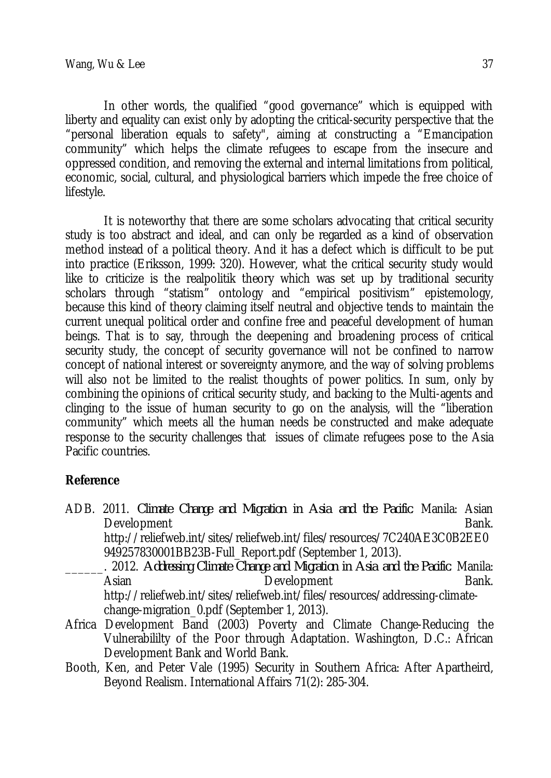In other words, the qualified "good governance" which is equipped with liberty and equality can exist only by adopting the critical-security perspective that the "personal liberation equals to safety", aiming at constructing a "Emancipation community" which helps the climate refugees to escape from the insecure and oppressed condition, and removing the external and internal limitations from political, economic, social, cultural, and physiological barriers which impede the free choice of lifestyle.

It is noteworthy that there are some scholars advocating that critical security study is too abstract and ideal, and can only be regarded as a kind of observation method instead of a political theory. And it has a defect which is difficult to be put into practice (Eriksson, 1999: 320). However, what the critical security study would like to criticize is the realpolitik theory which was set up by traditional security scholars through "statism" ontology and "empirical positivism" epistemology, because this kind of theory claiming itself neutral and objective tends to maintain the current unequal political order and confine free and peaceful development of human beings. That is to say, through the deepening and broadening process of critical security study, the concept of security governance will not be confined to narrow concept of national interest or sovereignty anymore, and the way of solving problems will also not be limited to the realist thoughts of power politics. In sum, only by combining the opinions of critical security study, and backing to the Multi-agents and clinging to the issue of human security to go on the analysis, will the "liberation community" which meets all the human needs be constructed and make adequate response to the security challenges that issues of climate refugees pose to the Asia Pacific countries.

## **Reference**

ADB. 2011. *Climate Change and Migration in Asia and the Pacific*. Manila: Asian Development Bank. http://reliefweb.int/sites/reliefweb.int/files/resources/7C240AE3C0B2EE0 949257830001BB23B-Full\_Report.pdf (September 1, 2013). \_\_\_\_\_\_. 2012. *Addressing Climate Change and Migration in Asia and the Pacific*. Manila: Asian **Development** Bank. http://reliefweb.int/sites/reliefweb.int/files/resources/addressing-climate-

change-migration\_0.pdf (September 1, 2013).

- Africa Development Band (2003) Poverty and Climate Change-Reducing the Vulnerabililty of the Poor through Adaptation. Washington, D.C.: African Development Bank and World Bank.
- Booth, Ken, and Peter Vale (1995) Security in Southern Africa: After Apartheird, Beyond Realism. International Affairs 71(2): 285-304.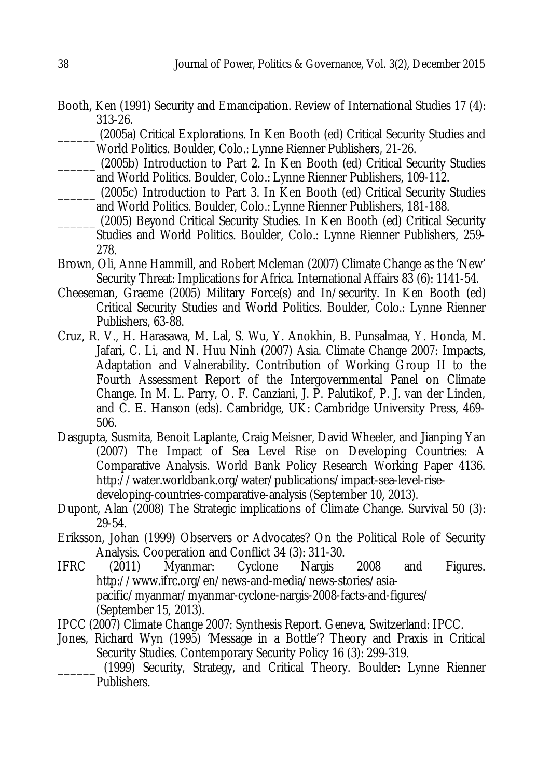- Booth, Ken (1991) Security and Emancipation. Review of International Studies 17 (4): 313-26.
	- \_\_\_\_\_\_ (2005a) Critical Explorations. In Ken Booth (ed) Critical Security Studies and World Politics. Boulder, Colo.: Lynne Rienner Publishers, 21-26.
- \_\_\_\_\_\_ (2005b) Introduction to Part 2. In Ken Booth (ed) Critical Security Studies and World Politics. Boulder, Colo.: Lynne Rienner Publishers, 109-112.
- \_\_\_\_\_\_ (2005c) Introduction to Part 3. In Ken Booth (ed) Critical Security Studies and World Politics. Boulder, Colo.: Lynne Rienner Publishers, 181-188.
- \_\_\_\_\_\_ (2005) Beyond Critical Security Studies. In Ken Booth (ed) Critical Security Studies and World Politics. Boulder, Colo.: Lynne Rienner Publishers, 259- 278.
- Brown, Oli, Anne Hammill, and Robert Mcleman (2007) Climate Change as the 'New' Security Threat: Implications for Africa. International Affairs 83 (6): 1141-54.
- Cheeseman, Graeme (2005) Military Force(s) and In/security. In Ken Booth (ed) Critical Security Studies and World Politics. Boulder, Colo.: Lynne Rienner Publishers, 63-88.
- Cruz, R. V., H. Harasawa, M. Lal, S. Wu, Y. Anokhin, B. Punsalmaa, Y. Honda, M. Jafari, C. Li, and N. Huu Ninh (2007) Asia. Climate Change 2007: Impacts, Adaptation and Valnerability. Contribution of Working Group II to the Fourth Assessment Report of the Intergovernmental Panel on Climate Change. In M. L. Parry, O. F. Canziani, J. P. Palutikof, P. J. van der Linden, and C. E. Hanson (eds). Cambridge, UK: Cambridge University Press, 469- 506.
- Dasgupta, Susmita, Benoit Laplante, Craig Meisner, David Wheeler, and Jianping Yan (2007) The Impact of Sea Level Rise on Developing Countries: A Comparative Analysis. World Bank Policy Research Working Paper 4136. http://water.worldbank.org/water/publications/impact-sea-level-risedeveloping-countries-comparative-analysis (September 10, 2013).
- Dupont, Alan (2008) The Strategic implications of Climate Change. Survival 50 (3): 29-54.
- Eriksson, Johan (1999) Observers or Advocates? On the Political Role of Security Analysis. Cooperation and Conflict 34 (3): 311-30.<br>(2011) Myanmar: Cyclone Nargis
- IFRC (2011) Myanmar: Cyclone Nargis 2008 and Figures. http://www.ifrc.org/en/news-and-media/news-stories/asiapacific/myanmar/myanmar-cyclone-nargis-2008-facts-and-figures/ (September 15, 2013).
- IPCC (2007) Climate Change 2007: Synthesis Report. Geneva, Switzerland: IPCC.
- Jones, Richard Wyn (1995) 'Message in a Bottle'? Theory and Praxis in Critical Security Studies. Contemporary Security Policy 16 (3): 299-319.

(1999) Security, Strategy, and Critical Theory. Boulder: Lynne Rienner Publishers.